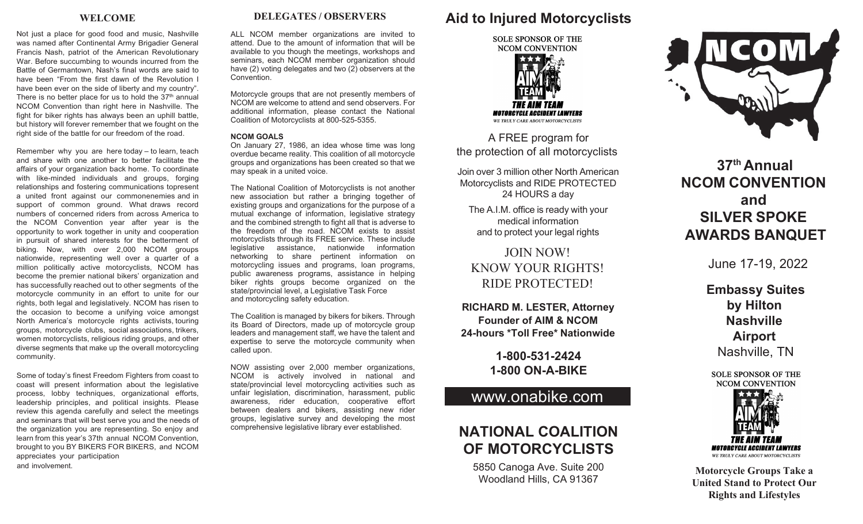### **WELCOME**

Not just a place for good food and music, Nashville was named after Continental Army Brigadier General Francis Nash, patriot of the American Revolutionary War. Before succumbing to wounds incurred from the Battle of Germantown, Nash's final words are said to have been "From the first dawn of the Revolution I have been ever on the side of liberty and my country". There is no better place for us to hold the  $37<sup>th</sup>$  annual NCOM Convention than right here in Nashville. The fight for biker rights has always been an uphill battle, but history will forever remember that we fought on the right side of the battle for our freedom of the road.

Remember why you are here today – to learn, teach and share with one another to better facilitate the affairs of your organization back home. To coordinate with like-minded individuals and groups, forging relationships and fostering communications topresent a united front against our commonenemies and in support of common ground. What draws record numbers of concerned riders from across America to the NCOM Convention year after year is the opportunity to work together in unity and cooperation in pursuit of shared interests for the betterment of biking. Now, with over 2,000 NCOM groups nationwide, representing well over a quarter of a million politically active motorcyclists, NCOM has become the premier national bikers' organization and has successfully reached out to other segments of the motorcycle community in an effort to unite for our rights, both legal and legislatively. NCOM has risen to the occasion to become a unifying voice amongst North America's motorcycle rights activists, touring groups, motorcycle clubs, social associations, trikers, women motorcyclists, religious riding groups, and other diverse segments that make up the overall motorcycling community.

Some of today's finest Freedom Fighters from coast to coast will present information about the legislative process, lobby techniques, organizational efforts, leadership principles, and political insights. Please review this agenda carefully and select the meetings and seminars that will best serve you and the needs of the organization you are representing. So enjoy and learn from this year's 37th annual NCOM Convention, brought to you BY BIKERS FOR BIKERS, and NCOM appreciates your participation and involvement.

**DELEGATES / OBSERVERS**

ALL NCOM member organizations are invited to attend. Due to the amount of information that will be available to you though the meetings, workshops and seminars, each NCOM member organization should have (2) voting delegates and two  $(2)$  observers at the Convention.

Motorcycle groups that are not presently members of NCOM are welcome to attend and send observers. For additional information, please contact the National Coalition of Motorcyclists at 800-525-5355.

#### **NCOM GOALS**

On January 27, 1986, an idea whose time was long overdue became reality. This coalition of all motorcycle groups and organizations has been created so that we may speak in a united voice.

The National Coalition of Motorcyclists is not another new association but rather a bringing together of existing groups and organizations for the purpose of a mutual exchange of information, legislative strategy and the combined strength to fight all that is adverse to the freedom of the road. NCOM exists to assist motorcyclists through its FREE service. These include legislative assistance, nationwide information networking to share pertinent information on motorcycling issues and programs, loan programs, public awareness programs, assistance in helping biker rights groups become organized on the state/provincial level, a Legislative Task Force and motorcycling safety education.

The Coalition is managed by bikers for bikers. Through its Board of Directors, made up of motorcycle group leaders and management staff, we have the talent and expertise to serve the motorcycle community when called upon.

NOW assisting over 2,000 member organizations, NCOM is actively involved in national and state/provincial level motorcycling activities such as unfair legislation, discrimination, harassment, public awareness, rider education, cooperative effort between dealers and bikers, assisting new rider groups, legislative survey and developing the most comprehensive legislative library ever established.

# **Aid to Injured Motorcyclists**



**MOTORCYCLE ACCIDENT LAWYERS** WE TRULY CARE ABOUT MOTORCYCLISTS

A FREE program for the protection of all motorcyclists

Join over 3 million other North American Motorcyclists and RIDE PROTECTED 24 HOURS a day

The A.I.M. office is ready with your medical information and to protect your legal rights

JOIN NOW! KNOW YOUR RIGHTS! RIDE PROTECTED!

**RICHARD M. LESTER, Attorney Founder of AIM & NCOM 24-hours \*Toll Free\* Nationwide**

## **1-800-531-2424 1-800 ON-A-BIKE**

## [www.onabike.com](http://www.onabike.com/)

# **NATIONAL COALITION OF MOTORCYCLISTS**

5850 Canoga Ave. Suite 200 Woodland Hills, CA 91367



**37th Annual NCOM CONVENTION and SILVER SPOKE AWARDS BANQUET**

June 17-19, 2022

**Embassy Suites by Hilton Nashville Airport** Nashville, TN

**SOLE SPONSOR OF THE NCOM CONVENTION** 



**Motorcycle Groups Take a United Stand to Protect Our Rights and Lifestyles**